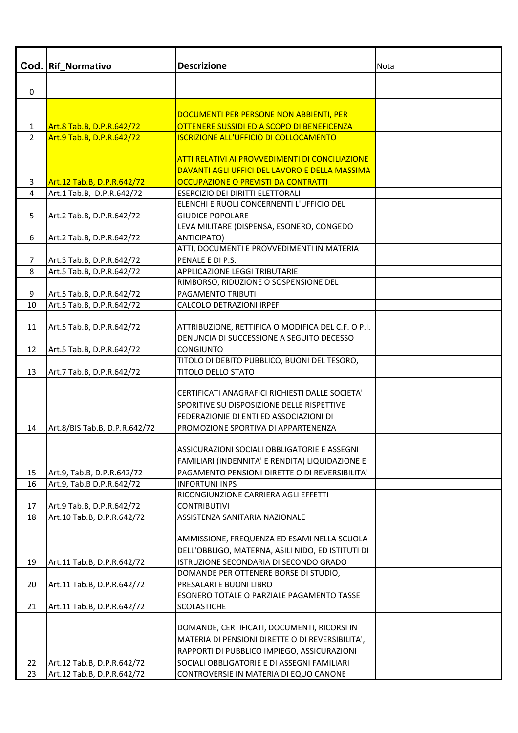| Cod.           | <b>Rif Normativo</b>                                    | <b>Descrizione</b>                                                                              | <b>Nota</b> |
|----------------|---------------------------------------------------------|-------------------------------------------------------------------------------------------------|-------------|
| 0              |                                                         |                                                                                                 |             |
|                |                                                         |                                                                                                 |             |
|                |                                                         | DOCUMENTI PER PERSONE NON ABBIENTI, PER                                                         |             |
| 1              | Art.8 Tab.B, D.P.R.642/72                               | OTTENERE SUSSIDI ED A SCOPO DI BENEFICENZA                                                      |             |
| $\overline{2}$ | Art.9 Tab.B, D.P.R.642/72                               | <b>ISCRIZIONE ALL'UFFICIO DI COLLOCAMENTO</b>                                                   |             |
|                |                                                         |                                                                                                 |             |
|                |                                                         | <b>ATTI RELATIVI AI PROVVEDIMENTI DI CONCILIAZIONE</b>                                          |             |
|                |                                                         | DAVANTI AGLI UFFICI DEL LAVORO E DELLA MASSIMA                                                  |             |
| 3<br>4         | Art.12 Tab.B, D.P.R.642/72<br>Art.1 Tab.B, D.P.R.642/72 | OCCUPAZIONE O PREVISTI DA CONTRATTI<br>ESERCIZIO DEI DIRITTI ELETTORALI                         |             |
|                |                                                         | ELENCHI E RUOLI CONCERNENTI L'UFFICIO DEL                                                       |             |
| 5              | Art.2 Tab.B, D.P.R.642/72                               | <b>GIUDICE POPOLARE</b>                                                                         |             |
|                |                                                         | LEVA MILITARE (DISPENSA, ESONERO, CONGEDO                                                       |             |
| 6              | Art.2 Tab.B, D.P.R.642/72                               | <b>ANTICIPATO)</b>                                                                              |             |
|                |                                                         | ATTI, DOCUMENTI E PROVVEDIMENTI IN MATERIA                                                      |             |
| $\overline{7}$ | Art.3 Tab.B, D.P.R.642/72                               | PENALE E DI P.S.                                                                                |             |
| 8              | Art.5 Tab.B, D.P.R.642/72                               | APPLICAZIONE LEGGI TRIBUTARIE                                                                   |             |
|                |                                                         | RIMBORSO, RIDUZIONE O SOSPENSIONE DEL                                                           |             |
| 9              | Art.5 Tab.B, D.P.R.642/72                               | PAGAMENTO TRIBUTI                                                                               |             |
| 10             | Art.5 Tab.B, D.P.R.642/72                               | CALCOLO DETRAZIONI IRPEF                                                                        |             |
|                |                                                         |                                                                                                 |             |
| 11             | Art.5 Tab.B, D.P.R.642/72                               | ATTRIBUZIONE, RETTIFICA O MODIFICA DEL C.F. O P.I.<br>DENUNCIA DI SUCCESSIONE A SEGUITO DECESSO |             |
| 12             | Art.5 Tab.B, D.P.R.642/72                               | CONGIUNTO                                                                                       |             |
|                |                                                         | TITOLO DI DEBITO PUBBLICO, BUONI DEL TESORO,                                                    |             |
| 13             | Art.7 Tab.B, D.P.R.642/72                               | TITOLO DELLO STATO                                                                              |             |
|                |                                                         | CERTIFICATI ANAGRAFICI RICHIESTI DALLE SOCIETA'                                                 |             |
|                |                                                         | SPORITIVE SU DISPOSIZIONE DELLE RISPETTIVE                                                      |             |
|                |                                                         | FEDERAZIONIE DI ENTI ED ASSOCIAZIONI DI                                                         |             |
| 14             | Art.8/BIS Tab.B, D.P.R.642/72                           | PROMOZIONE SPORTIVA DI APPARTENENZA                                                             |             |
|                |                                                         |                                                                                                 |             |
|                |                                                         | ASSICURAZIONI SOCIALI OBBLIGATORIE E ASSEGNI                                                    |             |
|                |                                                         | FAMILIARI (INDENNITA' E RENDITA) LIQUIDAZIONE E                                                 |             |
| 15             | Art.9, Tab.B, D.P.R.642/72                              | PAGAMENTO PENSIONI DIRETTE O DI REVERSIBILITA'                                                  |             |
| 16             | Art.9, Tab.B D.P.R.642/72                               | <b>INFORTUNI INPS</b>                                                                           |             |
|                |                                                         | RICONGIUNZIONE CARRIERA AGLI EFFETTI                                                            |             |
| 17             | Art.9 Tab.B, D.P.R.642/72                               | <b>CONTRIBUTIVI</b>                                                                             |             |
| 18             | Art.10 Tab.B, D.P.R.642/72                              | ASSISTENZA SANITARIA NAZIONALE                                                                  |             |
|                |                                                         | AMMISSIONE, FREQUENZA ED ESAMI NELLA SCUOLA                                                     |             |
|                |                                                         | DELL'OBBLIGO, MATERNA, ASILI NIDO, ED ISTITUTI DI                                               |             |
| 19             | Art.11 Tab.B, D.P.R.642/72                              | ISTRUZIONE SECONDARIA DI SECONDO GRADO                                                          |             |
|                |                                                         | DOMANDE PER OTTENERE BORSE DI STUDIO,                                                           |             |
| 20             | Art.11 Tab.B, D.P.R.642/72                              | PRESALARI E BUONI LIBRO                                                                         |             |
|                |                                                         | ESONERO TOTALE O PARZIALE PAGAMENTO TASSE                                                       |             |
| 21             | Art.11 Tab.B, D.P.R.642/72                              | <b>SCOLASTICHE</b>                                                                              |             |
|                |                                                         |                                                                                                 |             |
|                |                                                         | DOMANDE, CERTIFICATI, DOCUMENTI, RICORSI IN                                                     |             |
|                |                                                         | MATERIA DI PENSIONI DIRETTE O DI REVERSIBILITA',                                                |             |
| 22             | Art.12 Tab.B, D.P.R.642/72                              | RAPPORTI DI PUBBLICO IMPIEGO, ASSICURAZIONI<br>SOCIALI OBBLIGATORIE E DI ASSEGNI FAMILIARI      |             |
| 23             | Art.12 Tab.B, D.P.R.642/72                              | CONTROVERSIE IN MATERIA DI EQUO CANONE                                                          |             |
|                |                                                         |                                                                                                 |             |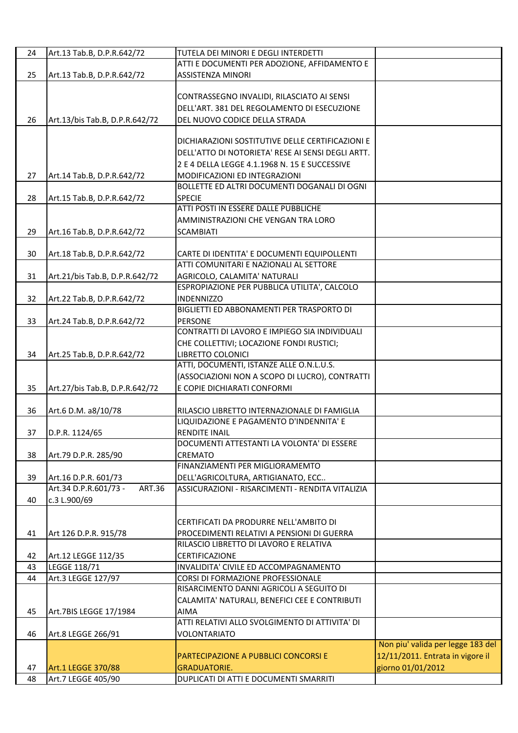| 24 | Art.13 Tab.B, D.P.R.642/72             | TUTELA DEI MINORI E DEGLI INTERDETTI              |                                   |
|----|----------------------------------------|---------------------------------------------------|-----------------------------------|
|    |                                        | ATTI E DOCUMENTI PER ADOZIONE, AFFIDAMENTO E      |                                   |
| 25 | Art.13 Tab.B, D.P.R.642/72             | ASSISTENZA MINORI                                 |                                   |
|    |                                        |                                                   |                                   |
|    |                                        | CONTRASSEGNO INVALIDI, RILASCIATO AI SENSI        |                                   |
|    |                                        |                                                   |                                   |
|    |                                        | DELL'ART. 381 DEL REGOLAMENTO DI ESECUZIONE       |                                   |
| 26 | Art.13/bis Tab.B, D.P.R.642/72         | DEL NUOVO CODICE DELLA STRADA                     |                                   |
|    |                                        |                                                   |                                   |
|    |                                        | DICHIARAZIONI SOSTITUTIVE DELLE CERTIFICAZIONI E  |                                   |
|    |                                        | DELL'ATTO DI NOTORIETA' RESE AI SENSI DEGLI ARTT. |                                   |
|    |                                        | 2 E 4 DELLA LEGGE 4.1.1968 N. 15 E SUCCESSIVE     |                                   |
|    |                                        |                                                   |                                   |
| 27 | Art.14 Tab.B, D.P.R.642/72             | MODIFICAZIONI ED INTEGRAZIONI                     |                                   |
|    |                                        | BOLLETTE ED ALTRI DOCUMENTI DOGANALI DI OGNI      |                                   |
| 28 | Art.15 Tab.B, D.P.R.642/72             | <b>SPECIE</b>                                     |                                   |
|    |                                        | ATTI POSTI IN ESSERE DALLE PUBBLICHE              |                                   |
|    |                                        | AMMINISTRAZIONI CHE VENGAN TRA LORO               |                                   |
| 29 | Art.16 Tab.B, D.P.R.642/72             | <b>SCAMBIATI</b>                                  |                                   |
|    |                                        |                                                   |                                   |
|    |                                        |                                                   |                                   |
| 30 | Art.18 Tab.B, D.P.R.642/72             | CARTE DI IDENTITA' E DOCUMENTI EQUIPOLLENTI       |                                   |
|    |                                        | ATTI COMUNITARI E NAZIONALI AL SETTORE            |                                   |
| 31 | Art.21/bis Tab.B, D.P.R.642/72         | AGRICOLO, CALAMITA' NATURALI                      |                                   |
|    |                                        | ESPROPIAZIONE PER PUBBLICA UTILITA', CALCOLO      |                                   |
| 32 | Art.22 Tab.B, D.P.R.642/72             | <b>INDENNIZZO</b>                                 |                                   |
|    |                                        | BIGLIETTI ED ABBONAMENTI PER TRASPORTO DI         |                                   |
|    |                                        |                                                   |                                   |
| 33 | Art.24 Tab.B, D.P.R.642/72             | PERSONE                                           |                                   |
|    |                                        | CONTRATTI DI LAVORO E IMPIEGO SIA INDIVIDUALI     |                                   |
|    |                                        | CHE COLLETTIVI; LOCAZIONE FONDI RUSTICI;          |                                   |
| 34 | Art.25 Tab.B, D.P.R.642/72             | LIBRETTO COLONICI                                 |                                   |
|    |                                        | ATTI, DOCUMENTI, ISTANZE ALLE O.N.L.U.S.          |                                   |
|    |                                        | (ASSOCIAZIONI NON A SCOPO DI LUCRO), CONTRATTI    |                                   |
| 35 | Art.27/bis Tab.B, D.P.R.642/72         | E COPIE DICHIARATI CONFORMI                       |                                   |
|    |                                        |                                                   |                                   |
|    |                                        |                                                   |                                   |
| 36 | Art.6 D.M. a8/10/78                    | RILASCIO LIBRETTO INTERNAZIONALE DI FAMIGLIA      |                                   |
|    |                                        | LIQUIDAZIONE E PAGAMENTO D'INDENNITA' E           |                                   |
| 37 | D.P.R. 1124/65                         | RENDITE INAIL                                     |                                   |
|    |                                        | DOCUMENTI ATTESTANTI LA VOLONTA' DI ESSERE        |                                   |
| 38 | Art.79 D.P.R. 285/90                   | CREMATO                                           |                                   |
|    |                                        | FINANZIAMENTI PER MIGLIORAMEMTO                   |                                   |
| 39 | Art.16 D.P.R. 601/73                   | DELL'AGRICOLTURA, ARTIGIANATO, ECC                |                                   |
|    | Art.34 D.P.R.601/73 -<br><b>ART.36</b> |                                                   |                                   |
|    |                                        | ASSICURAZIONI - RISARCIMENTI - RENDITA VITALIZIA  |                                   |
| 40 | c.3 L.900/69                           |                                                   |                                   |
|    |                                        |                                                   |                                   |
|    |                                        | CERTIFICATI DA PRODURRE NELL'AMBITO DI            |                                   |
| 41 | Art 126 D.P.R. 915/78                  | PROCEDIMENTI RELATIVI A PENSIONI DI GUERRA        |                                   |
|    |                                        | RILASCIO LIBRETTO DI LAVORO E RELATIVA            |                                   |
| 42 | Art.12 LEGGE 112/35                    | <b>CERTIFICAZIONE</b>                             |                                   |
| 43 | LEGGE 118/71                           | INVALIDITA' CIVILE ED ACCOMPAGNAMENTO             |                                   |
|    |                                        |                                                   |                                   |
| 44 | Art.3 LEGGE 127/97                     | CORSI DI FORMAZIONE PROFESSIONALE                 |                                   |
|    |                                        | RISARCIMENTO DANNI AGRICOLI A SEGUITO DI          |                                   |
|    |                                        | CALAMITA' NATURALI, BENEFICI CEE E CONTRIBUTI     |                                   |
| 45 | Art.7BIS LEGGE 17/1984                 | <b>AIMA</b>                                       |                                   |
|    |                                        | ATTI RELATIVI ALLO SVOLGIMENTO DI ATTIVITA' DI    |                                   |
| 46 | Art.8 LEGGE 266/91                     | <b>VOLONTARIATO</b>                               |                                   |
|    |                                        |                                                   | Non piu' valida per legge 183 del |
|    |                                        |                                                   |                                   |
|    |                                        | PARTECIPAZIONE A PUBBLICI CONCORSI E              | 12/11/2011. Entrata in vigore il  |
| 47 | Art.1 LEGGE 370/88                     | <b>GRADUATORIE.</b>                               | giorno 01/01/2012                 |
| 48 | Art.7 LEGGE 405/90                     | DUPLICATI DI ATTI E DOCUMENTI SMARRITI            |                                   |